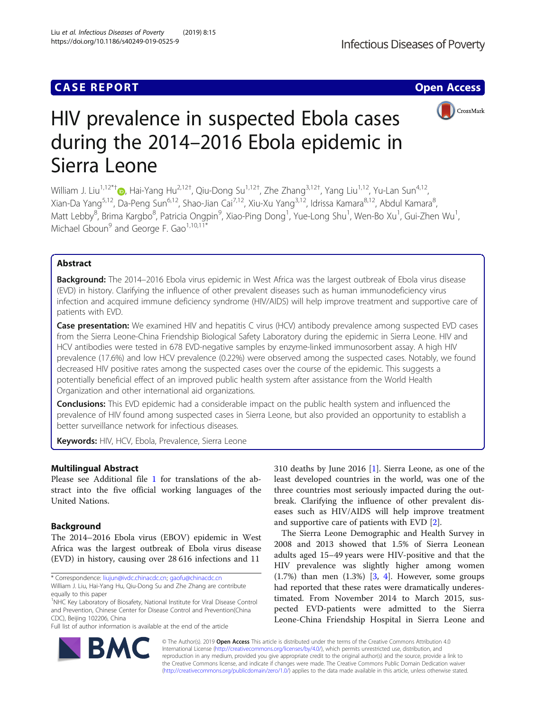# **CASE REPORT CASE ACCESS**



# HIV prevalence in suspected Ebola cases during the 2014–2016 Ebola epidemic in Sierra Leone

William J. Liu<sup>1,12\*[†](http://orcid.org/0000-0003-3605-4070)</sup>®, Hai-Yang Hu<sup>2,12†</sup>, Qiu-Dong Su<sup>1,12†</sup>, Zhe Zhang<sup>3,12†</sup>, Yang Liu<sup>1,12</sup>, Yu-Lan Sun<sup>4,12</sup>, Xian-Da Yang<sup>5,12</sup>, Da-Peng Sun<sup>6,12</sup>, Shao-Jian Cai<sup>7,12</sup>, Xiu-Xu Yang<sup>3,12</sup>, Idrissa Kamara<sup>8,12</sup>, Abdul Kamara<sup>8</sup>, , Matt Lebby<sup>8</sup>, Brima Kargbo<sup>8</sup>, Patricia Ongpin<sup>9</sup>, Xiao-Ping Dong<sup>1</sup>, Yue-Long Shu<sup>1</sup>, Wen-Bo Xu<sup>1</sup>, Gui-Zhen Wu<sup>1</sup> , Michael Gboun<sup>9</sup> and George F. Gao<sup>1,10,11\*</sup>

# Abstract

**Background:** The 2014–2016 Ebola virus epidemic in West Africa was the largest outbreak of Ebola virus disease (EVD) in history. Clarifying the influence of other prevalent diseases such as human immunodeficiency virus infection and acquired immune deficiency syndrome (HIV/AIDS) will help improve treatment and supportive care of patients with EVD.

Case presentation: We examined HIV and hepatitis C virus (HCV) antibody prevalence among suspected EVD cases from the Sierra Leone-China Friendship Biological Safety Laboratory during the epidemic in Sierra Leone. HIV and HCV antibodies were tested in 678 EVD-negative samples by enzyme-linked immunosorbent assay. A high HIV prevalence (17.6%) and low HCV prevalence (0.22%) were observed among the suspected cases. Notably, we found decreased HIV positive rates among the suspected cases over the course of the epidemic. This suggests a potentially beneficial effect of an improved public health system after assistance from the World Health Organization and other international aid organizations.

Conclusions: This EVD epidemic had a considerable impact on the public health system and influenced the prevalence of HIV found among suspected cases in Sierra Leone, but also provided an opportunity to establish a better surveillance network for infectious diseases.

Keywords: HIV, HCV, Ebola, Prevalence, Sierra Leone

## Multilingual Abstract

Please see Additional file [1](#page-3-0) for translations of the abstract into the five official working languages of the United Nations.

## **Background**

The 2014–2016 Ebola virus (EBOV) epidemic in West Africa was the largest outbreak of Ebola virus disease (EVD) in history, causing over 28 616 infections and 11

\* Correspondence: [liujun@ivdc.chinacdc.cn](mailto:liujun@ivdc.chinacdc.cn); [gaofu@chinacdc.cn](mailto:gaofu@chinacdc.cn)

Full list of author information is available at the end of the article

310 deaths by June 2016 [\[1](#page-3-0)]. Sierra Leone, as one of the least developed countries in the world, was one of the three countries most seriously impacted during the outbreak. Clarifying the influence of other prevalent diseases such as HIV/AIDS will help improve treatment and supportive care of patients with EVD [[2\]](#page-3-0).

The Sierra Leone Demographic and Health Survey in 2008 and 2013 showed that 1.5% of Sierra Leonean adults aged 15–49 years were HIV-positive and that the HIV prevalence was slightly higher among women  $(1.7\%)$  than men  $(1.3\%)$  [\[3](#page-3-0), [4](#page-3-0)]. However, some groups had reported that these rates were dramatically underestimated. From November 2014 to March 2015, suspected EVD-patients were admitted to the Sierra Leone-China Friendship Hospital in Sierra Leone and



© The Author(s). 2019 **Open Access** This article is distributed under the terms of the Creative Commons Attribution 4.0 International License [\(http://creativecommons.org/licenses/by/4.0/](http://creativecommons.org/licenses/by/4.0/)), which permits unrestricted use, distribution, and reproduction in any medium, provided you give appropriate credit to the original author(s) and the source, provide a link to the Creative Commons license, and indicate if changes were made. The Creative Commons Public Domain Dedication waiver [\(http://creativecommons.org/publicdomain/zero/1.0/](http://creativecommons.org/publicdomain/zero/1.0/)) applies to the data made available in this article, unless otherwise stated.

William J. Liu, Hai-Yang Hu, Qiu-Dong Su and Zhe Zhang are contribute equally to this paper

<sup>&</sup>lt;sup>1</sup>NHC Key Laboratory of Biosafety, National Institute for Viral Disease Control and Prevention, Chinese Center for Disease Control and Prevention(China CDC), Beijing 102206, China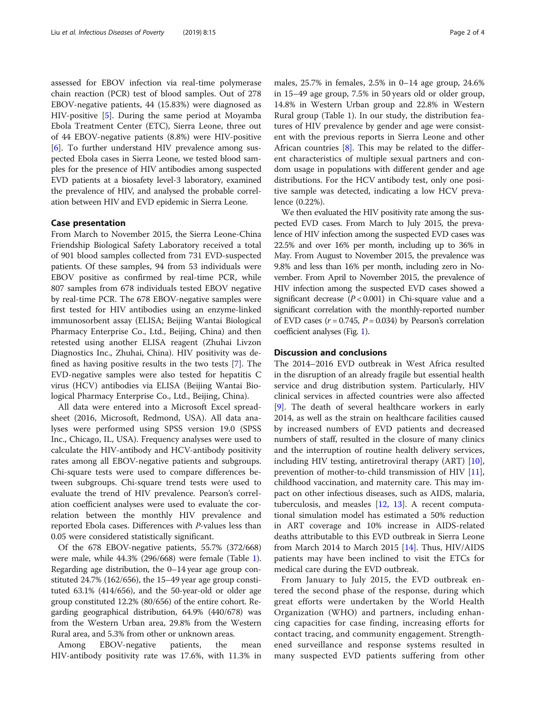assessed for EBOV infection via real-time polymerase chain reaction (PCR) test of blood samples. Out of 278 EBOV-negative patients, 44 (15.83%) were diagnosed as HIV-positive [[5](#page-3-0)]. During the same period at Moyamba Ebola Treatment Center (ETC), Sierra Leone, three out of 44 EBOV-negative patients (8.8%) were HIV-positive [[6\]](#page-3-0). To further understand HIV prevalence among suspected Ebola cases in Sierra Leone, we tested blood samples for the presence of HIV antibodies among suspected EVD patients at a biosafety level-3 laboratory, examined the prevalence of HIV, and analysed the probable correlation between HIV and EVD epidemic in Sierra Leone.

#### Case presentation

From March to November 2015, the Sierra Leone-China Friendship Biological Safety Laboratory received a total of 901 blood samples collected from 731 EVD-suspected patients. Of these samples, 94 from 53 individuals were EBOV positive as confirmed by real-time PCR, while 807 samples from 678 individuals tested EBOV negative by real-time PCR. The 678 EBOV-negative samples were first tested for HIV antibodies using an enzyme-linked immunosorbent assay (ELISA; Beijing Wantai Biological Pharmacy Enterprise Co., Ltd., Beijing, China) and then retested using another ELISA reagent (Zhuhai Livzon Diagnostics Inc., Zhuhai, China). HIV positivity was defined as having positive results in the two tests [[7](#page-3-0)]. The EVD-negative samples were also tested for hepatitis C virus (HCV) antibodies via ELISA (Beijing Wantai Biological Pharmacy Enterprise Co., Ltd., Beijing, China).

All data were entered into a Microsoft Excel spreadsheet (2016, Microsoft, Redmond, USA). All data analyses were performed using SPSS version 19.0 (SPSS Inc., Chicago, IL, USA). Frequency analyses were used to calculate the HIV-antibody and HCV-antibody positivity rates among all EBOV-negative patients and subgroups. Chi-square tests were used to compare differences between subgroups. Chi-square trend tests were used to evaluate the trend of HIV prevalence. Pearson's correlation coefficient analyses were used to evaluate the correlation between the monthly HIV prevalence and reported Ebola cases. Differences with P-values less than 0.05 were considered statistically significant.

Of the 678 EBOV-negative patients, 55.7% (372/668) were male, while 44.3% (296/668) were female (Table [1](#page-2-0)). Regarding age distribution, the 0–14 year age group constituted 24.7% (162/656), the 15–49 year age group constituted 63.1% (414/656), and the 50-year-old or older age group constituted 12.2% (80/656) of the entire cohort. Regarding geographical distribution, 64.9% (440/678) was from the Western Urban area, 29.8% from the Western Rural area, and 5.3% from other or unknown areas.

Among EBOV-negative patients, the mean HIV-antibody positivity rate was 17.6%, with 11.3% in

males, 25.7% in females, 2.5% in 0–14 age group, 24.6% in 15–49 age group, 7.5% in 50 years old or older group, 14.8% in Western Urban group and 22.8% in Western Rural group (Table 1). In our study, the distribution features of HIV prevalence by gender and age were consistent with the previous reports in Sierra Leone and other African countries  $[8]$  $[8]$  $[8]$ . This may be related to the different characteristics of multiple sexual partners and condom usage in populations with different gender and age distributions. For the HCV antibody test, only one positive sample was detected, indicating a low HCV prevalence (0.22%).

We then evaluated the HIV positivity rate among the suspected EVD cases. From March to July 2015, the prevalence of HIV infection among the suspected EVD cases was 22.5% and over 16% per month, including up to 36% in May. From August to November 2015, the prevalence was 9.8% and less than 16% per month, including zero in November. From April to November 2015, the prevalence of HIV infection among the suspected EVD cases showed a significant decrease  $(P < 0.001)$  in Chi-square value and a significant correlation with the monthly-reported number of EVD cases  $(r = 0.745, P = 0.034)$  by Pearson's correlation coefficient analyses (Fig. [1\)](#page-2-0).

#### Discussion and conclusions

The 2014–2016 EVD outbreak in West Africa resulted in the disruption of an already fragile but essential health service and drug distribution system. Particularly, HIV clinical services in affected countries were also affected [[9\]](#page-3-0). The death of several healthcare workers in early 2014, as well as the strain on healthcare facilities caused by increased numbers of EVD patients and decreased numbers of staff, resulted in the closure of many clinics and the interruption of routine health delivery services, including HIV testing, antiretroviral therapy (ART) [\[10](#page-3-0)], prevention of mother-to-child transmission of HIV [\[11](#page-3-0)], childhood vaccination, and maternity care. This may impact on other infectious diseases, such as AIDS, malaria, tuberculosis, and measles [\[12](#page-3-0), [13](#page-3-0)]. A recent computational simulation model has estimated a 50% reduction in ART coverage and 10% increase in AIDS-related deaths attributable to this EVD outbreak in Sierra Leone from March 2014 to March 2015 [[14\]](#page-3-0). Thus, HIV/AIDS patients may have been inclined to visit the ETCs for medical care during the EVD outbreak.

From January to July 2015, the EVD outbreak entered the second phase of the response, during which great efforts were undertaken by the World Health Organization (WHO) and partners, including enhancing capacities for case finding, increasing efforts for contact tracing, and community engagement. Strengthened surveillance and response systems resulted in many suspected EVD patients suffering from other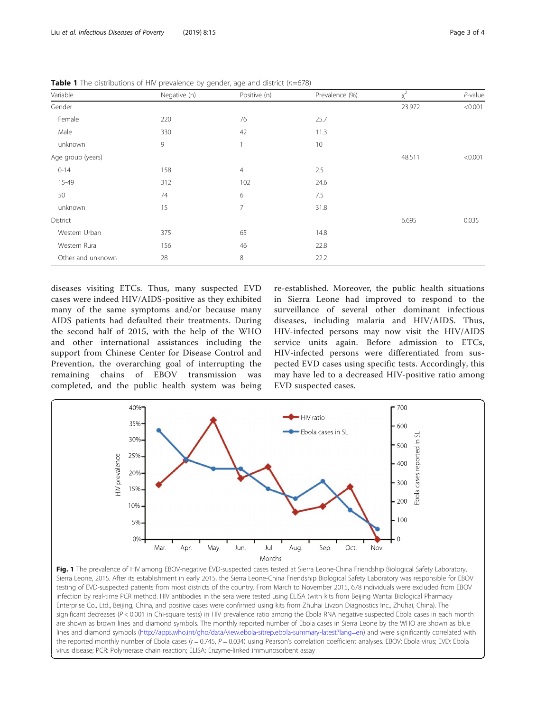| Variable          | Negative (n) | Positive (n)   | Prevalence (%) | $x^2$  | $P$ -value |
|-------------------|--------------|----------------|----------------|--------|------------|
| Gender            |              |                |                | 23.972 | < 0.001    |
| Female            | 220          | 76             | 25.7           |        |            |
| Male              | 330          | 42             | 11.3           |        |            |
| unknown           | 9            | 1              | 10             |        |            |
| Age group (years) |              |                |                | 48.511 | < 0.001    |
| $0 - 14$          | 158          | $\overline{4}$ | 2.5            |        |            |
| 15-49             | 312          | 102            | 24.6           |        |            |
| 50                | 74           | 6              | 7.5            |        |            |
| unknown           | 15           | 7              | 31.8           |        |            |
| District          |              |                |                | 6.695  | 0.035      |
| Western Urban     | 375          | 65             | 14.8           |        |            |
| Western Rural     | 156          | 46             | 22.8           |        |            |
| Other and unknown | 28           | 8              | 22.2           |        |            |

<span id="page-2-0"></span>**Table 1** The distributions of HIV prevalence by gender, age and district  $(n=678)$ 

diseases visiting ETCs. Thus, many suspected EVD cases were indeed HIV/AIDS-positive as they exhibited many of the same symptoms and/or because many AIDS patients had defaulted their treatments. During the second half of 2015, with the help of the WHO and other international assistances including the support from Chinese Center for Disease Control and Prevention, the overarching goal of interrupting the remaining chains of EBOV transmission was completed, and the public health system was being

re-established. Moreover, the public health situations in Sierra Leone had improved to respond to the surveillance of several other dominant infectious diseases, including malaria and HIV/AIDS. Thus, HIV-infected persons may now visit the HIV/AIDS service units again. Before admission to ETCs, HIV-infected persons were differentiated from suspected EVD cases using specific tests. Accordingly, this may have led to a decreased HIV-positive ratio among EVD suspected cases.



Fig. 1 The prevalence of HIV among EBOV-negative EVD-suspected cases tested at Sierra Leone-China Friendship Biological Safety Laboratory, Sierra Leone, 2015. After its establishment in early 2015, the Sierra Leone-China Friendship Biological Safety Laboratory was responsible for EBOV testing of EVD-suspected patients from most districts of the country. From March to November 2015, 678 individuals were excluded from EBOV infection by real-time PCR method. HIV antibodies in the sera were tested using ELISA (with kits from Beijing Wantai Biological Pharmacy Enterprise Co., Ltd., Beijing, China, and positive cases were confirmed using kits from Zhuhai Livzon Diagnostics Inc., Zhuhai, China). The significant decreases (P < 0.001 in Chi-square tests) in HIV prevalence ratio among the Ebola RNA negative suspected Ebola cases in each month are shown as brown lines and diamond symbols. The monthly reported number of Ebola cases in Sierra Leone by the WHO are shown as blue lines and diamond symbols ([http://apps.who.int/gho/data/view.ebola-sitrep.ebola-summary-latest?lang=en\)](http://apps.who.int/gho/data/view.ebola-sitrep.ebola-summary-latest?lang=en) and were significantly correlated with the reported monthly number of Ebola cases ( $r = 0.745$ ,  $P = 0.034$ ) using Pearson's correlation coefficient analyses. EBOV: Ebola virus; EVD: Ebola virus disease; PCR: Polymerase chain reaction; ELISA: Enzyme-linked immunosorbent assay